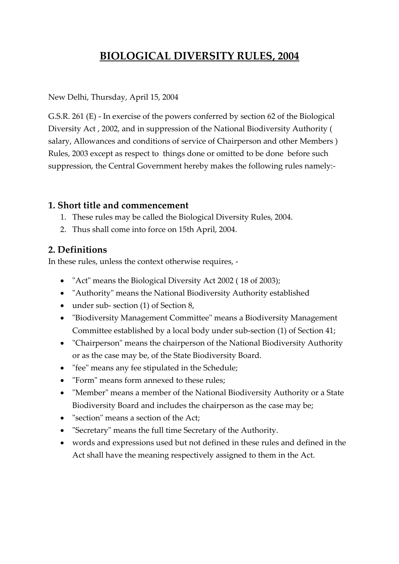# **BIOLOGICAL DIVERSITY RULES, 2004**

New Delhi, Thursday, April 15, 2004

G.S.R. 261 (E) - In exercise of the powers conferred by section 62 of the Biological Diversity Act , 2002, and in suppression of the National Biodiversity Authority ( salary, Allowances and conditions of service of Chairperson and other Members ) Rules, 2003 except as respect to things done or omitted to be done before such suppression, the Central Government hereby makes the following rules namely:-

#### **1. Short title and commencement**

- 1. These rules may be called the Biological Diversity Rules, 2004.
- 2. Thus shall come into force on 15th April, 2004.

#### **2. Definitions**

In these rules, unless the context otherwise requires, -

- "Act" means the Biological Diversity Act 2002 (18 of 2003);
- "Authority" means the National Biodiversity Authority established
- under sub- section (1) of Section 8,
- "Biodiversity Management Committee" means a Biodiversity Management Committee established by a local body under sub-section (1) of Section 41;
- "Chairperson" means the chairperson of the National Biodiversity Authority or as the case may be, of the State Biodiversity Board.
- "fee" means any fee stipulated in the Schedule;
- "Form" means form annexed to these rules;
- "Member" means a member of the National Biodiversity Authority or a State Biodiversity Board and includes the chairperson as the case may be;
- "section" means a section of the Act;
- "Secretary" means the full time Secretary of the Authority.
- words and expressions used but not defined in these rules and defined in the Act shall have the meaning respectively assigned to them in the Act.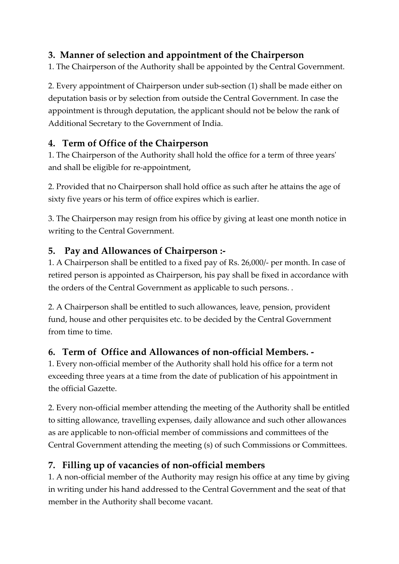### **3. Manner of selection and appointment of the Chairperson**

1. The Chairperson of the Authority shall be appointed by the Central Government.

2. Every appointment of Chairperson under sub-section (1) shall be made either on deputation basis or by selection from outside the Central Government. In case the appointment is through deputation, the applicant should not be below the rank of Additional Secretary to the Government of India.

### **4. Term of Office of the Chairperson**

1. The Chairperson of the Authority shall hold the office for a term of three years' and shall be eligible for re-appointment,

2. Provided that no Chairperson shall hold office as such after he attains the age of sixty five years or his term of office expires which is earlier.

3. The Chairperson may resign from his office by giving at least one month notice in writing to the Central Government.

### **5. Pay and Allowances of Chairperson :-**

1. A Chairperson shall be entitled to a fixed pay of Rs. 26,000/- per month. In case of retired person is appointed as Chairperson, his pay shall be fixed in accordance with the orders of the Central Government as applicable to such persons. .

2. A Chairperson shall be entitled to such allowances, leave, pension, provident fund, house and other perquisites etc. to be decided by the Central Government from time to time.

### **6. Term of Office and Allowances of non-official Members. -**

1. Every non-official member of the Authority shall hold his office for a term not exceeding three years at a time from the date of publication of his appointment in the official Gazette.

2. Every non-official member attending the meeting of the Authority shall be entitled to sitting allowance, travelling expenses, daily allowance and such other allowances as are applicable to non-official member of commissions and committees of the Central Government attending the meeting (s) of such Commissions or Committees.

### **7. Filling up of vacancies of non-official members**

1. A non-official member of the Authority may resign his office at any time by giving in writing under his hand addressed to the Central Government and the seat of that member in the Authority shall become vacant.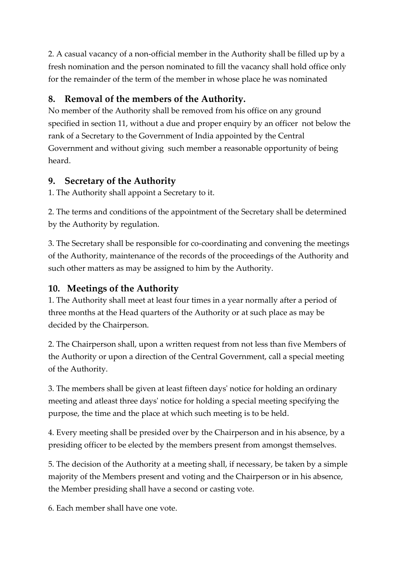2. A casual vacancy of a non-official member in the Authority shall be filled up by a fresh nomination and the person nominated to fill the vacancy shall hold office only for the remainder of the term of the member in whose place he was nominated

### **8. Removal of the members of the Authority.**

No member of the Authority shall be removed from his office on any ground specified in section 11, without a due and proper enquiry by an officer not below the rank of a Secretary to the Government of India appointed by the Central Government and without giving such member a reasonable opportunity of being heard.

### **9. Secretary of the Authority**

1. The Authority shall appoint a Secretary to it.

2. The terms and conditions of the appointment of the Secretary shall be determined by the Authority by regulation.

3. The Secretary shall be responsible for co-coordinating and convening the meetings of the Authority, maintenance of the records of the proceedings of the Authority and such other matters as may be assigned to him by the Authority.

### **10. Meetings of the Authority**

1. The Authority shall meet at least four times in a year normally after a period of three months at the Head quarters of the Authority or at such place as may be decided by the Chairperson.

2. The Chairperson shall, upon a written request from not less than five Members of the Authority or upon a direction of the Central Government, call a special meeting of the Authority.

3. The members shall be given at least fifteen days' notice for holding an ordinary meeting and atleast three days' notice for holding a special meeting specifying the purpose, the time and the place at which such meeting is to be held.

4. Every meeting shall be presided over by the Chairperson and in his absence, by a presiding officer to be elected by the members present from amongst themselves.

5. The decision of the Authority at a meeting shall, if necessary, be taken by a simple majority of the Members present and voting and the Chairperson or in his absence, the Member presiding shall have a second or casting vote.

6. Each member shall have one vote.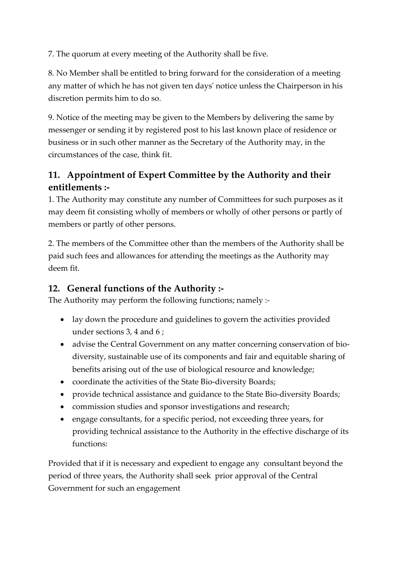7. The quorum at every meeting of the Authority shall be five.

8. No Member shall be entitled to bring forward for the consideration of a meeting any matter of which he has not given ten days' notice unless the Chairperson in his discretion permits him to do so.

9. Notice of the meeting may be given to the Members by delivering the same by messenger or sending it by registered post to his last known place of residence or business or in such other manner as the Secretary of the Authority may, in the circumstances of the case, think fit.

## **11. Appointment of Expert Committee by the Authority and their entitlements :-**

1. The Authority may constitute any number of Committees for such purposes as it may deem fit consisting wholly of members or wholly of other persons or partly of members or partly of other persons.

2. The members of the Committee other than the members of the Authority shall be paid such fees and allowances for attending the meetings as the Authority may deem fit.

### **12. General functions of the Authority :-**

The Authority may perform the following functions; namely :-

- lay down the procedure and guidelines to govern the activities provided under sections 3, 4 and 6 ;
- advise the Central Government on any matter concerning conservation of biodiversity, sustainable use of its components and fair and equitable sharing of benefits arising out of the use of biological resource and knowledge;
- coordinate the activities of the State Bio-diversity Boards;
- provide technical assistance and guidance to the State Bio-diversity Boards;
- commission studies and sponsor investigations and research;
- engage consultants, for a specific period, not exceeding three years, for providing technical assistance to the Authority in the effective discharge of its functions:

Provided that if it is necessary and expedient to engage any consultant beyond the period of three years, the Authority shall seek prior approval of the Central Government for such an engagement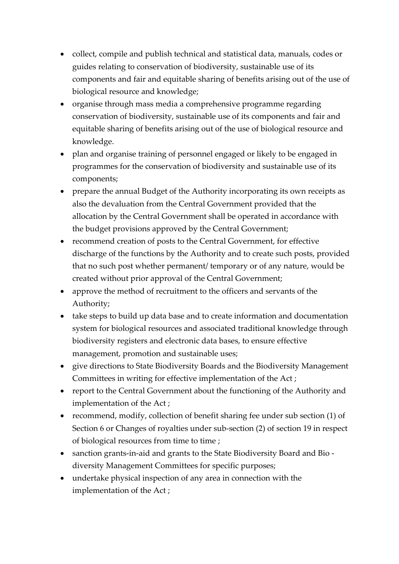- collect, compile and publish technical and statistical data, manuals, codes or guides relating to conservation of biodiversity, sustainable use of its components and fair and equitable sharing of benefits arising out of the use of biological resource and knowledge;
- organise through mass media a comprehensive programme regarding conservation of biodiversity, sustainable use of its components and fair and equitable sharing of benefits arising out of the use of biological resource and knowledge.
- plan and organise training of personnel engaged or likely to be engaged in programmes for the conservation of biodiversity and sustainable use of its components;
- prepare the annual Budget of the Authority incorporating its own receipts as also the devaluation from the Central Government provided that the allocation by the Central Government shall be operated in accordance with the budget provisions approved by the Central Government;
- recommend creation of posts to the Central Government, for effective discharge of the functions by the Authority and to create such posts, provided that no such post whether permanent/ temporary or of any nature, would be created without prior approval of the Central Government;
- approve the method of recruitment to the officers and servants of the Authority;
- take steps to build up data base and to create information and documentation system for biological resources and associated traditional knowledge through biodiversity registers and electronic data bases, to ensure effective management, promotion and sustainable uses;
- give directions to State Biodiversity Boards and the Biodiversity Management Committees in writing for effective implementation of the Act ;
- report to the Central Government about the functioning of the Authority and implementation of the Act ;
- recommend, modify, collection of benefit sharing fee under sub section (1) of Section 6 or Changes of royalties under sub-section (2) of section 19 in respect of biological resources from time to time ;
- sanction grants-in-aid and grants to the State Biodiversity Board and Bio diversity Management Committees for specific purposes;
- undertake physical inspection of any area in connection with the implementation of the Act ;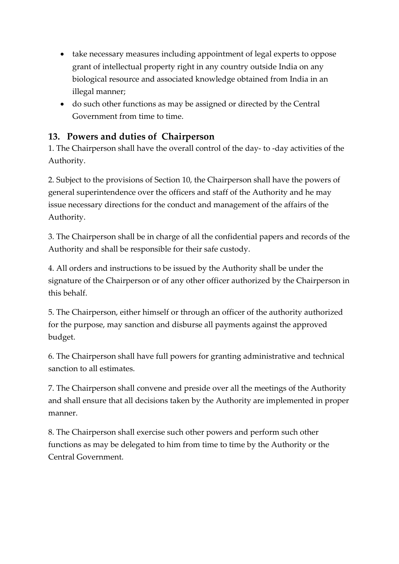- take necessary measures including appointment of legal experts to oppose grant of intellectual property right in any country outside India on any biological resource and associated knowledge obtained from India in an illegal manner;
- do such other functions as may be assigned or directed by the Central Government from time to time.

### **13. Powers and duties of Chairperson**

1. The Chairperson shall have the overall control of the day- to -day activities of the Authority.

2. Subject to the provisions of Section 10, the Chairperson shall have the powers of general superintendence over the officers and staff of the Authority and he may issue necessary directions for the conduct and management of the affairs of the Authority.

3. The Chairperson shall be in charge of all the confidential papers and records of the Authority and shall be responsible for their safe custody.

4. All orders and instructions to be issued by the Authority shall be under the signature of the Chairperson or of any other officer authorized by the Chairperson in this behalf.

5. The Chairperson, either himself or through an officer of the authority authorized for the purpose, may sanction and disburse all payments against the approved budget.

6. The Chairperson shall have full powers for granting administrative and technical sanction to all estimates.

7. The Chairperson shall convene and preside over all the meetings of the Authority and shall ensure that all decisions taken by the Authority are implemented in proper manner.

8. The Chairperson shall exercise such other powers and perform such other functions as may be delegated to him from time to time by the Authority or the Central Government.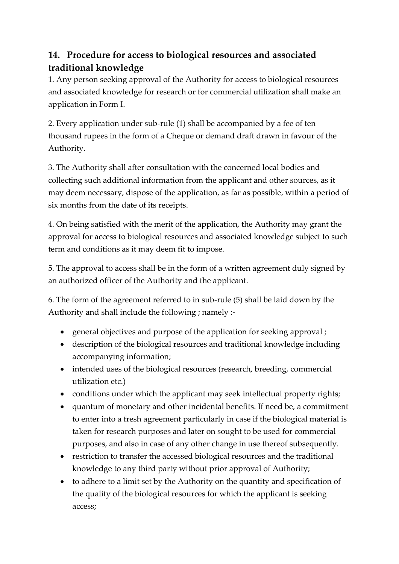## **14. Procedure for access to biological resources and associated traditional knowledge**

1. Any person seeking approval of the Authority for access to biological resources and associated knowledge for research or for commercial utilization shall make an application in Form I.

2. Every application under sub-rule (1) shall be accompanied by a fee of ten thousand rupees in the form of a Cheque or demand draft drawn in favour of the Authority.

3. The Authority shall after consultation with the concerned local bodies and collecting such additional information from the applicant and other sources, as it may deem necessary, dispose of the application, as far as possible, within a period of six months from the date of its receipts.

4. On being satisfied with the merit of the application, the Authority may grant the approval for access to biological resources and associated knowledge subject to such term and conditions as it may deem fit to impose.

5. The approval to access shall be in the form of a written agreement duly signed by an authorized officer of the Authority and the applicant.

6. The form of the agreement referred to in sub-rule (5) shall be laid down by the Authority and shall include the following ; namely :-

- general objectives and purpose of the application for seeking approval ;
- description of the biological resources and traditional knowledge including accompanying information;
- intended uses of the biological resources (research, breeding, commercial utilization etc.)
- conditions under which the applicant may seek intellectual property rights;
- quantum of monetary and other incidental benefits. If need be, a commitment to enter into a fresh agreement particularly in case if the biological material is taken for research purposes and later on sought to be used for commercial purposes, and also in case of any other change in use thereof subsequently.
- restriction to transfer the accessed biological resources and the traditional knowledge to any third party without prior approval of Authority;
- to adhere to a limit set by the Authority on the quantity and specification of the quality of the biological resources for which the applicant is seeking access;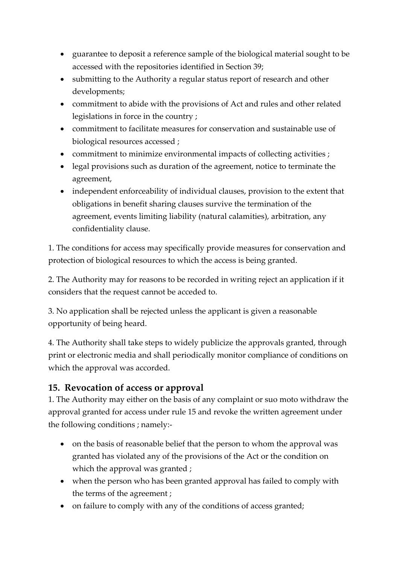- guarantee to deposit a reference sample of the biological material sought to be accessed with the repositories identified in Section 39;
- submitting to the Authority a regular status report of research and other developments;
- commitment to abide with the provisions of Act and rules and other related legislations in force in the country ;
- commitment to facilitate measures for conservation and sustainable use of biological resources accessed ;
- commitment to minimize environmental impacts of collecting activities ;
- legal provisions such as duration of the agreement, notice to terminate the agreement,
- independent enforceability of individual clauses, provision to the extent that obligations in benefit sharing clauses survive the termination of the agreement, events limiting liability (natural calamities), arbitration, any confidentiality clause.

1. The conditions for access may specifically provide measures for conservation and protection of biological resources to which the access is being granted.

2. The Authority may for reasons to be recorded in writing reject an application if it considers that the request cannot be acceded to.

3. No application shall be rejected unless the applicant is given a reasonable opportunity of being heard.

4. The Authority shall take steps to widely publicize the approvals granted, through print or electronic media and shall periodically monitor compliance of conditions on which the approval was accorded.

### **15. Revocation of access or approval**

1. The Authority may either on the basis of any complaint or suo moto withdraw the approval granted for access under rule 15 and revoke the written agreement under the following conditions ; namely:-

- on the basis of reasonable belief that the person to whom the approval was granted has violated any of the provisions of the Act or the condition on which the approval was granted ;
- when the person who has been granted approval has failed to comply with the terms of the agreement ;
- on failure to comply with any of the conditions of access granted;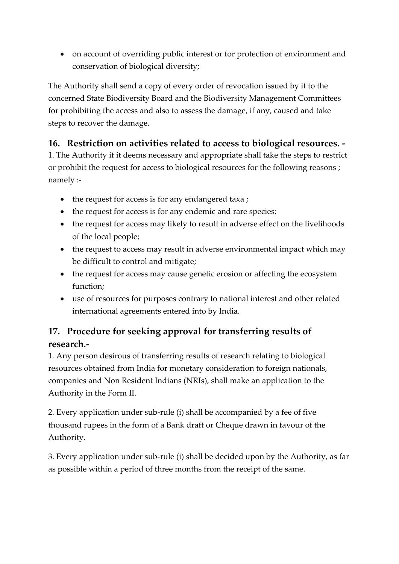• on account of overriding public interest or for protection of environment and conservation of biological diversity;

The Authority shall send a copy of every order of revocation issued by it to the concerned State Biodiversity Board and the Biodiversity Management Committees for prohibiting the access and also to assess the damage, if any, caused and take steps to recover the damage.

### **16. Restriction on activities related to access to biological resources. -**

1. The Authority if it deems necessary and appropriate shall take the steps to restrict or prohibit the request for access to biological resources for the following reasons ; namely :-

- the request for access is for any endangered taxa;
- the request for access is for any endemic and rare species;
- the request for access may likely to result in adverse effect on the livelihoods of the local people;
- the request to access may result in adverse environmental impact which may be difficult to control and mitigate;
- the request for access may cause genetic erosion or affecting the ecosystem function;
- use of resources for purposes contrary to national interest and other related international agreements entered into by India.

## **17. Procedure for seeking approval for transferring results of research.-**

1. Any person desirous of transferring results of research relating to biological resources obtained from India for monetary consideration to foreign nationals, companies and Non Resident Indians (NRIs), shall make an application to the Authority in the Form II.

2. Every application under sub-rule (i) shall be accompanied by a fee of five thousand rupees in the form of a Bank draft or Cheque drawn in favour of the Authority.

3. Every application under sub-rule (i) shall be decided upon by the Authority, as far as possible within a period of three months from the receipt of the same.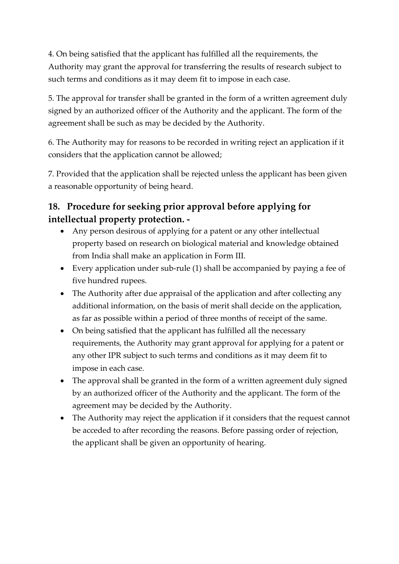4. On being satisfied that the applicant has fulfilled all the requirements, the Authority may grant the approval for transferring the results of research subject to such terms and conditions as it may deem fit to impose in each case.

5. The approval for transfer shall be granted in the form of a written agreement duly signed by an authorized officer of the Authority and the applicant. The form of the agreement shall be such as may be decided by the Authority.

6. The Authority may for reasons to be recorded in writing reject an application if it considers that the application cannot be allowed;

7. Provided that the application shall be rejected unless the applicant has been given a reasonable opportunity of being heard.

## **18. Procedure for seeking prior approval before applying for intellectual property protection. -**

- Any person desirous of applying for a patent or any other intellectual property based on research on biological material and knowledge obtained from India shall make an application in Form III.
- Every application under sub-rule (1) shall be accompanied by paying a fee of five hundred rupees.
- The Authority after due appraisal of the application and after collecting any additional information, on the basis of merit shall decide on the application, as far as possible within a period of three months of receipt of the same.
- On being satisfied that the applicant has fulfilled all the necessary requirements, the Authority may grant approval for applying for a patent or any other IPR subject to such terms and conditions as it may deem fit to impose in each case.
- The approval shall be granted in the form of a written agreement duly signed by an authorized officer of the Authority and the applicant. The form of the agreement may be decided by the Authority.
- The Authority may reject the application if it considers that the request cannot be acceded to after recording the reasons. Before passing order of rejection, the applicant shall be given an opportunity of hearing.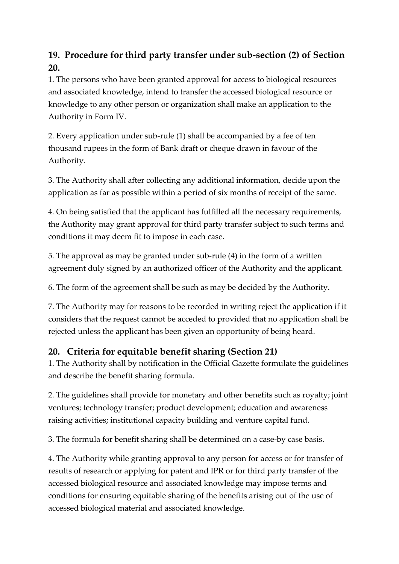## **19. Procedure for third party transfer under sub-section (2) of Section 20.**

1. The persons who have been granted approval for access to biological resources and associated knowledge, intend to transfer the accessed biological resource or knowledge to any other person or organization shall make an application to the Authority in Form IV.

2. Every application under sub-rule (1) shall be accompanied by a fee of ten thousand rupees in the form of Bank draft or cheque drawn in favour of the Authority.

3. The Authority shall after collecting any additional information, decide upon the application as far as possible within a period of six months of receipt of the same.

4. On being satisfied that the applicant has fulfilled all the necessary requirements, the Authority may grant approval for third party transfer subject to such terms and conditions it may deem fit to impose in each case.

5. The approval as may be granted under sub-rule (4) in the form of a written agreement duly signed by an authorized officer of the Authority and the applicant.

6. The form of the agreement shall be such as may be decided by the Authority.

7. The Authority may for reasons to be recorded in writing reject the application if it considers that the request cannot be acceded to provided that no application shall be rejected unless the applicant has been given an opportunity of being heard.

### **20. Criteria for equitable benefit sharing (Section 21)**

1. The Authority shall by notification in the Official Gazette formulate the guidelines and describe the benefit sharing formula.

2. The guidelines shall provide for monetary and other benefits such as royalty; joint ventures; technology transfer; product development; education and awareness raising activities; institutional capacity building and venture capital fund.

3. The formula for benefit sharing shall be determined on a case-by case basis.

4. The Authority while granting approval to any person for access or for transfer of results of research or applying for patent and IPR or for third party transfer of the accessed biological resource and associated knowledge may impose terms and conditions for ensuring equitable sharing of the benefits arising out of the use of accessed biological material and associated knowledge.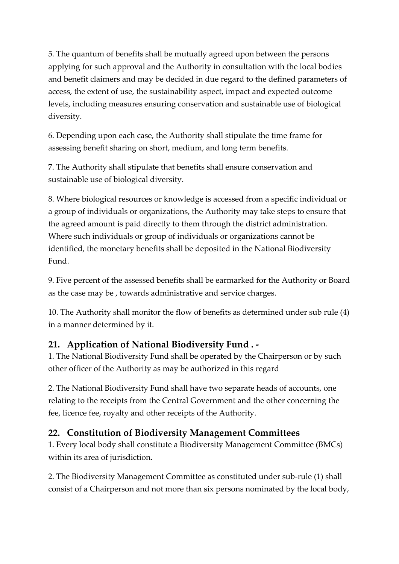5. The quantum of benefits shall be mutually agreed upon between the persons applying for such approval and the Authority in consultation with the local bodies and benefit claimers and may be decided in due regard to the defined parameters of access, the extent of use, the sustainability aspect, impact and expected outcome levels, including measures ensuring conservation and sustainable use of biological diversity.

6. Depending upon each case, the Authority shall stipulate the time frame for assessing benefit sharing on short, medium, and long term benefits.

7. The Authority shall stipulate that benefits shall ensure conservation and sustainable use of biological diversity.

8. Where biological resources or knowledge is accessed from a specific individual or a group of individuals or organizations, the Authority may take steps to ensure that the agreed amount is paid directly to them through the district administration. Where such individuals or group of individuals or organizations cannot be identified, the monetary benefits shall be deposited in the National Biodiversity Fund.

9. Five percent of the assessed benefits shall be earmarked for the Authority or Board as the case may be , towards administrative and service charges.

10. The Authority shall monitor the flow of benefits as determined under sub rule (4) in a manner determined by it.

### **21. Application of National Biodiversity Fund . -**

1. The National Biodiversity Fund shall be operated by the Chairperson or by such other officer of the Authority as may be authorized in this regard

2. The National Biodiversity Fund shall have two separate heads of accounts, one relating to the receipts from the Central Government and the other concerning the fee, licence fee, royalty and other receipts of the Authority.

### **22. Constitution of Biodiversity Management Committees**

1. Every local body shall constitute a Biodiversity Management Committee (BMCs) within its area of jurisdiction.

2. The Biodiversity Management Committee as constituted under sub-rule (1) shall consist of a Chairperson and not more than six persons nominated by the local body,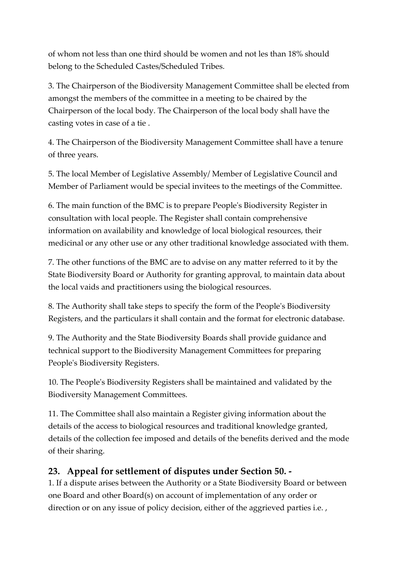of whom not less than one third should be women and not les than 18% should belong to the Scheduled Castes/Scheduled Tribes.

3. The Chairperson of the Biodiversity Management Committee shall be elected from amongst the members of the committee in a meeting to be chaired by the Chairperson of the local body. The Chairperson of the local body shall have the casting votes in case of a tie .

4. The Chairperson of the Biodiversity Management Committee shall have a tenure of three years.

5. The local Member of Legislative Assembly/ Member of Legislative Council and Member of Parliament would be special invitees to the meetings of the Committee.

6. The main function of the BMC is to prepare People's Biodiversity Register in consultation with local people. The Register shall contain comprehensive information on availability and knowledge of local biological resources, their medicinal or any other use or any other traditional knowledge associated with them.

7. The other functions of the BMC are to advise on any matter referred to it by the State Biodiversity Board or Authority for granting approval, to maintain data about the local vaids and practitioners using the biological resources.

8. The Authority shall take steps to specify the form of the People's Biodiversity Registers, and the particulars it shall contain and the format for electronic database.

9. The Authority and the State Biodiversity Boards shall provide guidance and technical support to the Biodiversity Management Committees for preparing People's Biodiversity Registers.

10. The People's Biodiversity Registers shall be maintained and validated by the Biodiversity Management Committees.

11. The Committee shall also maintain a Register giving information about the details of the access to biological resources and traditional knowledge granted, details of the collection fee imposed and details of the benefits derived and the mode of their sharing.

#### **23. Appeal for settlement of disputes under Section 50. -**

1. If a dispute arises between the Authority or a State Biodiversity Board or between one Board and other Board(s) on account of implementation of any order or direction or on any issue of policy decision, either of the aggrieved parties i.e.,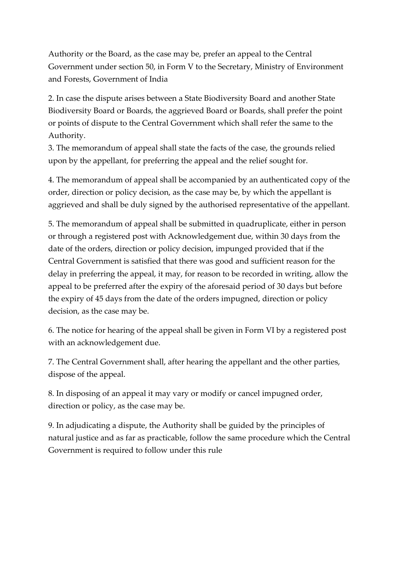Authority or the Board, as the case may be, prefer an appeal to the Central Government under section 50, in Form V to the Secretary, Ministry of Environment and Forests, Government of India

2. In case the dispute arises between a State Biodiversity Board and another State Biodiversity Board or Boards, the aggrieved Board or Boards, shall prefer the point or points of dispute to the Central Government which shall refer the same to the Authority.

3. The memorandum of appeal shall state the facts of the case, the grounds relied upon by the appellant, for preferring the appeal and the relief sought for.

4. The memorandum of appeal shall be accompanied by an authenticated copy of the order, direction or policy decision, as the case may be, by which the appellant is aggrieved and shall be duly signed by the authorised representative of the appellant.

5. The memorandum of appeal shall be submitted in quadruplicate, either in person or through a registered post with Acknowledgement due, within 30 days from the date of the orders, direction or policy decision, impunged provided that if the Central Government is satisfied that there was good and sufficient reason for the delay in preferring the appeal, it may, for reason to be recorded in writing, allow the appeal to be preferred after the expiry of the aforesaid period of 30 days but before the expiry of 45 days from the date of the orders impugned, direction or policy decision, as the case may be.

6. The notice for hearing of the appeal shall be given in Form VI by a registered post with an acknowledgement due.

7. The Central Government shall, after hearing the appellant and the other parties, dispose of the appeal.

8. In disposing of an appeal it may vary or modify or cancel impugned order, direction or policy, as the case may be.

9. In adjudicating a dispute, the Authority shall be guided by the principles of natural justice and as far as practicable, follow the same procedure which the Central Government is required to follow under this rule